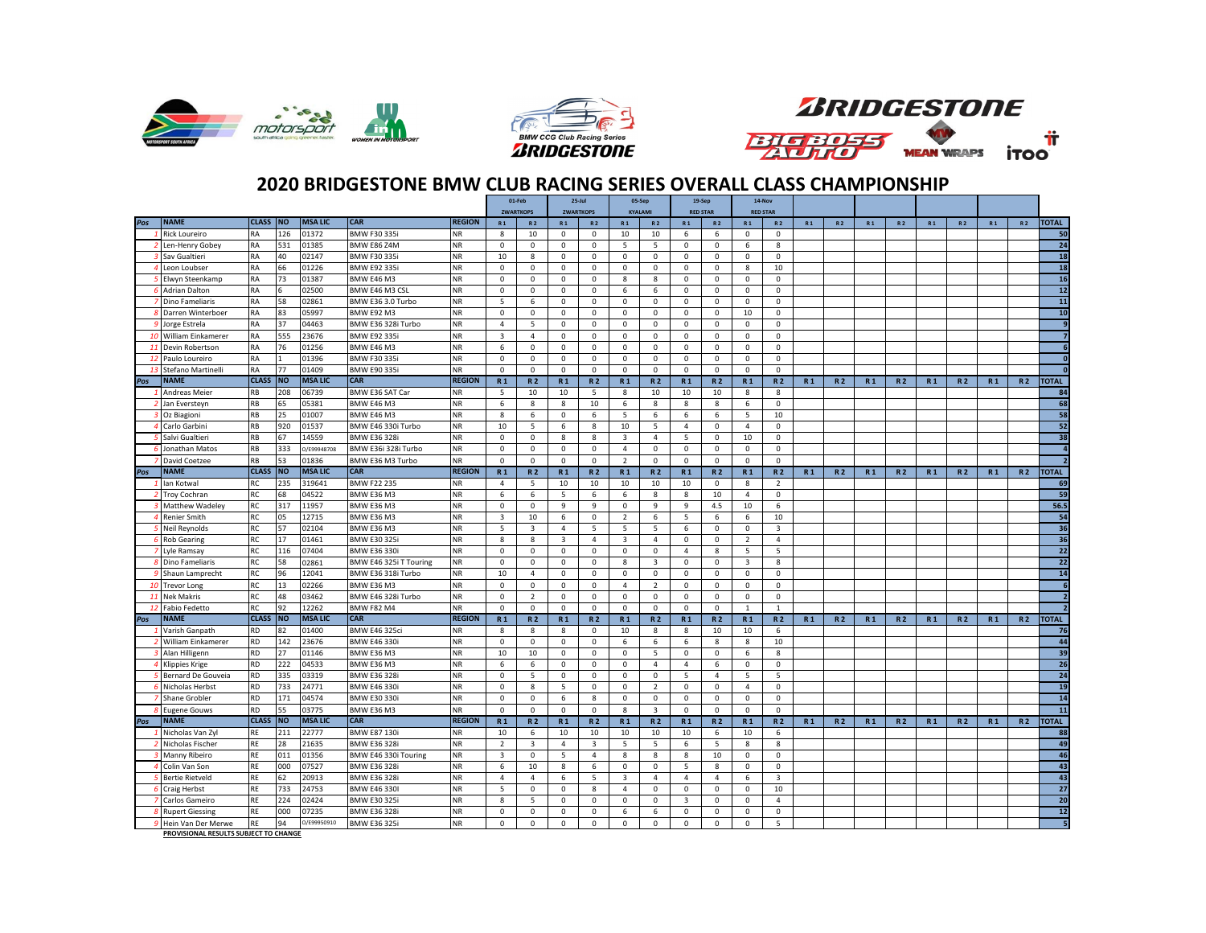





## **2020 BRIDGESTONE BMW CLUB RACING SERIES OVERALL CLASS CHAMPIONSHIP**

|     |                                        |              |           |                |                        |               |                | 01-Feb                  |                         | $25$ -Jul        |                         | 05-Sep                  | 19-Sep          |                | 14-Nov                  |                         |                |                |                |                |                |                |                |                |                |  |
|-----|----------------------------------------|--------------|-----------|----------------|------------------------|---------------|----------------|-------------------------|-------------------------|------------------|-------------------------|-------------------------|-----------------|----------------|-------------------------|-------------------------|----------------|----------------|----------------|----------------|----------------|----------------|----------------|----------------|----------------|--|
|     |                                        |              |           |                |                        |               |                | <b>ZWARTKOPS</b>        |                         | <b>ZWARTKOPS</b> |                         | <b>KYALAMI</b>          | <b>RED STAR</b> |                |                         | <b>RED STAR</b>         |                |                |                |                |                |                |                |                |                |  |
| Pos | <b>NAME</b>                            | <b>CLASS</b> | <b>NO</b> | <b>MSALIC</b>  | <b>CAR</b>             | <b>REGION</b> | R <sub>1</sub> | <b>R2</b>               | R <sub>1</sub>          | R <sub>2</sub>   | R <sub>1</sub>          | R <sub>2</sub>          | R <sub>1</sub>  | <b>R2</b>      | R <sub>1</sub>          | <b>R2</b>               | R <sub>1</sub> | R <sub>2</sub> | R <sub>1</sub> | R <sub>2</sub> | R <sub>1</sub> | <b>R2</b>      | R <sub>1</sub> | R <sub>2</sub> | <b>TOTAL</b>   |  |
|     | <b>Rick Loureiro</b>                   | <b>RA</b>    | 126       | 01372          | BMW F30 335i           | NR.           | 8              | 10                      | $^{\circ}$              | 0                | 10                      | 10                      | 6               | 6              | $^{\circ}$              | $^{\circ}$              |                |                |                |                |                |                |                |                | 50             |  |
|     | Len-Henry Gobey                        | <b>RA</b>    | 531       | 01385          | BMW E86 Z4M            | ΝR            | $\mathsf 0$    | $\mathsf{o}$            | $\mathbf 0$             | 0                | 5                       | 5                       | $\mathbf 0$     | 0              | 6                       | 8                       |                |                |                |                |                |                |                |                | 24             |  |
|     | Sav Gualtieri                          | <b>RA</b>    | 40        | 02147          | <b>BMW F30 335i</b>    | NR.           | 10             | 8                       | $\mathbf 0$             | $\mathbf 0$      | $\mathbf 0$             | $\mathbf 0$             | $\mathbf 0$     | $\mathbf 0$    | $\mathbf 0$             | $\mathbf 0$             |                |                |                |                |                |                |                |                | 18             |  |
|     | Leon Loubser                           | <b>RA</b>    | 66        | 01226          | <b>BMW E92 335i</b>    | NR            | $\mathbf 0$    | $\mathbf 0$             | $\mathsf 0$             | 0                | $\mathbf 0$             | $\mathbf 0$             | $\mathbf 0$     | $\mathbf 0$    | 8                       | 10                      |                |                |                |                |                |                |                |                | 18             |  |
|     | Elwyn Steenkamp                        | <b>RA</b>    | 73        | 01387          | BMW E46 M3             | NR            | 0              | 0                       | $^{\circ}$              | 0                | 8                       | 8                       | $\mathbf 0$     | 0              | $\mathbf 0$             | $^{\circ}$              |                |                |                |                |                |                |                |                | 16             |  |
|     | Adrian Dalton                          | <b>RA</b>    |           | 02500          | BMW E46 M3 CSL         | ΝR            | 0              | $\mathbf 0$             | $\mathsf 0$             | $\mathsf 0$      | 6                       | 6                       | $\mathbf 0$     | $\mathsf 0$    | $\mathsf 0$             | $\mathsf 0$             |                |                |                |                |                |                |                |                | 12             |  |
|     | Dino Fameliaris                        | <b>RA</b>    | 58        | 02861          | BMW E36 3.0 Turbo      | <b>NR</b>     | 5              | 6                       | $\mathsf 0$             | $\mathsf 0$      | $\mathbf 0$             | 0                       | $\mathbf 0$     | $\mathsf 0$    | 0                       | $\mathbf 0$             |                |                |                |                |                |                |                |                | 11             |  |
|     | Darren Winterboer                      | <b>RA</b>    | 83        | 05997          | <b>BMW E92 M3</b>      | <b>NR</b>     | $\mathbf{0}$   | $\mathbf{0}$            | $\mathbf{0}$            | $\mathbf 0$      | $\mathbf 0$             | 0                       | $\mathbf 0$     | $\mathsf 0$    | 10                      | $\mathbf 0$             |                |                |                |                |                |                |                |                | 10             |  |
|     | Jorge Estrela                          | <b>RA</b>    | 37        | 04463          | BMW E36 328i Turbo     | NR            | $\overline{4}$ | 5                       | $\mathbf 0$             | $\mathsf 0$      | $\mathbf 0$             | $\mathbf 0$             | $\mathbf 0$     | $\mathsf 0$    | $\mathbf{0}$            | $\mathbf 0$             |                |                |                |                |                |                |                |                | 9              |  |
| 10  | William Einkamerer                     | RA           | 555       | 23676          | <b>BMW E92 335i</b>    | <b>NR</b>     | 3              | $\overline{4}$          | $\mathsf 0$             | 0                | $\mathbf 0$             | 0                       | $\mathbf 0$     | 0              | 0                       | $\mathsf 0$             |                |                |                |                |                |                |                |                | $\overline{z}$ |  |
| -11 | Devin Robertson                        | <b>RA</b>    | 76        | 01256          | BMW E46 M3             | <b>NR</b>     | 6              | $\mathbf{0}$            | $\mathbf{0}$            | $\mathbf 0$      | $\mathbf 0$             | $\mathbf 0$             | $\mathbf 0$     | $\mathbf 0$    | $\mathbf 0$             | $\mathbf 0$             |                |                |                |                |                |                |                |                | 6              |  |
| 12  | Paulo Loureiro                         | <b>RA</b>    |           | 01396          | <b>BMW F30 335i</b>    | NR            | $^{\circ}$     | $\mathbf 0$             | $\mathbf 0$             | 0                | $^{\circ}$              | 0                       | $\mathbf 0$     | 0              | $\mathbf 0$             | 0                       |                |                |                |                |                |                |                |                | $\Omega$       |  |
| -13 | Stefano Martinelli                     | <b>RA</b>    | 77        | 01409          | <b>BMW E90 335i</b>    | <b>NR</b>     | $\mathbf 0$    | 0                       | $\mathsf 0$             | 0                | $\mathbf 0$             | 0                       | $\mathbf 0$     | 0              | 0                       | $\mathbf 0$             |                |                |                |                |                |                |                |                | $\sqrt{2}$     |  |
| Pos | <b>NAME</b>                            | <b>CLASS</b> | <b>NO</b> | <b>MSA LIC</b> | <b>CAR</b>             | <b>REGION</b> | R <sub>1</sub> | R <sub>2</sub>          | R <sub>1</sub>          | <b>R2</b>        | R <sub>1</sub>          | R <sub>2</sub>          | R <sub>1</sub>  | <b>R2</b>      | R <sub>1</sub>          | <b>R2</b>               | R <sub>1</sub> | R <sub>2</sub> | R <sub>1</sub> | <b>R2</b>      | R <sub>1</sub> | R <sub>2</sub> | R <sub>1</sub> | <b>R2</b>      | <b>TOTAL</b>   |  |
|     | Andreas Meier                          | RB           | 208       | 06739          | BMW E36 SAT Car        | ΝR            | 5              | 10                      | 10                      | 5                | 8                       | 10                      | 10              | 10             | 8                       | 8                       |                |                |                |                |                |                |                |                | 84             |  |
|     | Jan Eversteyn                          | <b>RB</b>    | 65        | 05381          | BMW E46 M3             | <b>NR</b>     | 6              | 8                       | 8                       | 10               | 6                       | 8                       | 8               | 8              | 6                       | $^{\circ}$              |                |                |                |                |                |                |                |                | 68             |  |
|     | Oz Biagioni                            | <b>RB</b>    | 25        | 01007          | <b>BMW E46 M3</b>      | <b>NR</b>     | $\mathbf{g}$   | 6                       | $\Omega$                | 6                | $5^{\circ}$             | 6                       | 6               | 6              | $5^{\circ}$             | 10                      |                |                |                |                |                |                |                |                | 58             |  |
|     | Carlo Garbini                          | <b>RB</b>    | 920       | 01537          | BMW E46 330i Turbo     | NR            | 10             | -5                      | 6                       | 8                | 10                      | 5                       | $\overline{4}$  | 0              | 4                       | 0                       |                |                |                |                |                |                |                |                | 52             |  |
|     | Salvi Gualtieri                        | <b>RB</b>    | 67        | 14559          | <b>BMW E36 328i</b>    | <b>NR</b>     | 0              | 0                       | 8                       | 8                | 3                       | 4                       | 5               | 0              | 10                      | $\mathbf 0$             |                |                |                |                |                |                |                |                | 38             |  |
|     | Jonathan Matos                         | <b>RB</b>    | 333       | D/E99948708    | BMW E36i 328i Turbo    | <b>NR</b>     | $\mathbf{0}$   | $\mathbf{0}$            | $\mathbf{0}$            | $\mathbf 0$      | $\overline{4}$          | $\mathbf 0$             | $\mathbf 0$     | $\mathsf 0$    | $\mathbf 0$             | $\mathbf 0$             |                |                |                |                |                |                |                |                | $\overline{4}$ |  |
|     | David Coetzee                          | <b>RB</b>    | 53        | 01836          | BMW E36 M3 Turbo       | ΝR            | $\mathbf 0$    | $\mathbf 0$             | 0                       | 0                | $\overline{2}$          | 0                       | $\mathbf 0$     | 0              | 0                       | 0                       |                |                |                |                |                |                |                |                |                |  |
| Pos | <b>NAME</b>                            | <b>CLASS</b> | <b>NO</b> | <b>MSA LIC</b> | <b>CAR</b>             | <b>REGION</b> | R <sub>1</sub> | <b>R2</b>               | R <sub>1</sub>          | <b>R2</b>        | R <sub>1</sub>          | <b>R2</b>               | R <sub>1</sub>  | <b>R2</b>      | R <sub>1</sub>          | <b>R2</b>               | R <sub>1</sub> | <b>R2</b>      | R <sub>1</sub> | <b>R2</b>      | R <sub>1</sub> | <b>R2</b>      | R <sub>1</sub> | <b>R2</b>      | <b>TOTAL</b>   |  |
|     | lan Kotwal                             | <b>RC</b>    | 235       | 319641         | <b>BMW F22 235</b>     | <b>NR</b>     | $\overline{4}$ | 5                       | 10                      | 10               | 10                      | 10                      | 10              | $\mathbf 0$    | 8                       | $\overline{2}$          |                |                |                |                |                |                |                |                | 69             |  |
|     | <b>Troy Cochran</b>                    | <b>RC</b>    | 68        | 04522          | BMW E36 M3             | ΝR            | 6              | 6                       | -5                      | 6                | 6                       | 8                       | 8               | 10             | 4                       | 0                       |                |                |                |                |                |                |                |                | 59             |  |
|     | Matthew Wadeley                        | <b>RC</b>    | 317       | 11957          | <b>BMW E36 M3</b>      | <b>NR</b>     | $\mathbf 0$    | $\mathbf 0$             | 9                       | 9                | $\mathbf 0$             | 9                       | 9               | 4.5            | 10                      | 6                       |                |                |                |                |                |                |                |                | 56.5           |  |
|     | Renier Smith                           | <b>RC</b>    | 05        | 12715          | BMW E36 M3             | <b>NR</b>     | 3              | 10                      | 6                       | $\mathsf 0$      | $\overline{2}$          | 6                       | 5               | 6              | 6                       | 10                      |                |                |                |                |                |                |                |                | 54             |  |
|     | Neil Reynolds                          | <b>RC</b>    | 57        | 02104          | <b>BMW E36 M3</b>      | NR            | - 5            | $\overline{\mathbf{3}}$ | $\overline{4}$          | -5               | 5                       | - 5                     | 6               | $\mathbf 0$    | $\mathbf 0$             | 3                       |                |                |                |                |                |                |                |                | 36             |  |
|     | <b>6</b> Rob Gearing                   | <b>RC</b>    | 17        | 01461          | <b>BMW E30 325i</b>    | <b>NR</b>     | 8              | 8                       | $\overline{\mathbf{3}}$ | $\overline{4}$   | $\overline{\mathbf{3}}$ | 4                       | $\mathbf{0}$    | $^{\circ}$     | 2                       | 4                       |                |                |                |                |                |                |                |                | 36             |  |
|     | Lyle Ramsay                            | <b>RC</b>    | 116       | 07404          | <b>BMW E36 330i</b>    | <b>NR</b>     | 0              | $\mathsf{o}$            | 0                       | 0                | 0                       | 0                       | $\overline{4}$  | 8              | 5                       | 5                       |                |                |                |                |                |                |                |                | 22             |  |
|     | Dino Fameliaris                        | <b>RC</b>    | 58        | 02861          | BMW E46 325i T Touring | <b>NR</b>     | $\mathbf{0}$   | $\mathbf 0$             | $\mathbf 0$             | $\mathbf 0$      | 8                       | $\overline{\mathbf{3}}$ | $\mathbf{0}$    | $\mathbf 0$    | $\overline{\mathbf{3}}$ | 8                       |                |                |                |                |                |                |                |                | 22             |  |
|     | Shaun Lamprecht                        | <b>RC</b>    | 96        | 12041          | BMW E36 318i Turbo     | <b>NR</b>     | 10             | $\overline{4}$          | $\mathbf 0$             | $\mathbf 0$      | $\mathbf 0$             | $\Omega$                | $\mathbf{0}$    | $\mathbf 0$    | $\mathbf{0}$            | $\Omega$                |                |                |                |                |                |                |                |                | 14             |  |
| -10 | Trevor Long                            | <b>RC</b>    | 13        | 02266          | <b>BMW E36 M3</b>      | ΝR            | 0              | $\mathsf{o}$            | 0                       | 0                | 4                       | $\overline{2}$          | $\mathbf 0$     | 0              | 0                       | 0                       |                |                |                |                |                |                |                |                | 6              |  |
| 11  | <b>Nek Makris</b>                      | <b>RC</b>    | 48        | 03462          | BMW E46 328i Turbo     | NR            | $\mathbf 0$    | $\overline{2}$          | $\mathbf 0$             | 0                | $\mathbf 0$             | $^{\circ}$              | $\mathbf 0$     | 0              | 0                       | $\mathbf 0$             |                |                |                |                |                |                |                |                | $\overline{2}$ |  |
| -12 | Fabio Fedetto                          | <b>RC</b>    | 92        | 12262          | <b>BMW F82 M4</b>      | NR.           | $\mathbf 0$    | $\mathbf 0$             | $\mathbf 0$             | $\mathbf 0$      | $\mathbf 0$             | $\mathbf 0$             | $\mathbf{0}$    | $\mathsf 0$    | 1                       | $\overline{1}$          |                |                |                |                |                |                |                |                |                |  |
| Pos | <b>NAME</b>                            | <b>CLASS</b> | <b>NO</b> | <b>MSALIC</b>  | <b>CAR</b>             | <b>REGION</b> | R <sub>1</sub> | <b>R2</b>               | R <sub>1</sub>          | <b>R2</b>        | R <sub>1</sub>          | <b>R2</b>               | R <sub>1</sub>  | <b>R2</b>      | R <sub>1</sub>          | <b>R2</b>               | R <sub>1</sub> | <b>R2</b>      | R <sub>1</sub> | <b>R2</b>      | R <sub>1</sub> | <b>R2</b>      | <b>R1</b>      | <b>R2</b>      | <b>TOTAL</b>   |  |
|     | Varish Ganpath                         | <b>RD</b>    | 82        | 01400          | <b>BMW E46 325ci</b>   | <b>NR</b>     | 8              | 8                       | 8                       | 0                | 10                      | 8                       | 8               | 10             | 10                      | 6                       |                |                |                |                |                |                |                |                | 76             |  |
|     | William Einkamerer                     | <b>RD</b>    | 142       | 23676          | <b>BMW E46 330i</b>    | NR.           | $\mathbf 0$    | $\mathbf 0$             | $^{\circ}$              | $\mathbf 0$      | 6                       | 6                       | 6               | 8              | 8                       | 10                      |                |                |                |                |                |                |                |                | 44             |  |
|     | Alan Hilligenn                         | <b>RD</b>    | 27        | 01146          | BMW E36 M3             | <b>NR</b>     | 10             | 10                      | 0                       | 0                | $^{\circ}$              | 5                       | $\mathbf 0$     | 0              | 6                       | 8                       |                |                |                |                |                |                |                |                | 39             |  |
|     | <b>Klippies Krige</b>                  | <b>RD</b>    | 222       | 04533          | BMW E36 M3             | <b>NR</b>     | 6              | 6                       | $\mathbf 0$             | $\mathsf 0$      | $\mathbf 0$             | $\overline{4}$          | $\overline{4}$  | 6              | $\mathbf 0$             | $\mathbf 0$             |                |                |                |                |                |                |                |                | 26             |  |
|     | Bernard De Gouveia                     | <b>RD</b>    | 335       | 03319          | <b>BMW E36 328i</b>    | NR            | $\mathsf 0$    | 5                       | $\mathbf 0$             | $\mathsf 0$      | $\mathbf 0$             | 0                       | 5               | $\overline{4}$ | 5                       | 5                       |                |                |                |                |                |                |                |                | 24             |  |
|     | Nicholas Herbst                        | <b>RD</b>    | 733       | 24771          | <b>BMW E46 330i</b>    | NR.           | $^{\circ}$     | 8                       | -5                      | $\mathbf 0$      | $^{\circ}$              | $\overline{2}$          | $\mathbf{0}$    | $\mathbf 0$    | $\overline{4}$          | $^{\circ}$              |                |                |                |                |                |                |                |                | 19             |  |
|     | Shane Grobler                          | <b>RD</b>    | 171       | 04574          | <b>BMW E30 330i</b>    | <b>NR</b>     | $\mathbf 0$    | $\mathbf 0$             | 6                       | 8                | $\mathbf 0$             | $\mathsf 0$             | $\mathbf 0$     | $\mathsf 0$    | 0                       | $\mathbf 0$             |                |                |                |                |                |                |                |                | 14             |  |
|     | <b>Eugene Gouws</b>                    | <b>RD</b>    | 55        | 03775          | BMW E36 M3             | NR            | $\mathbf{0}$   | $\mathbf 0$             | $\mathbf 0$             | $\mathsf 0$      | 8                       | $\overline{\mathbf{3}}$ | $\mathbf 0$     | $\mathsf 0$    | $\mathbf 0$             | $\mathbf 0$             |                |                |                |                |                |                |                |                | 11             |  |
| Pos | <b>NAME</b>                            | <b>CLASS</b> | <b>NO</b> | <b>MSALIC</b>  | <b>CAR</b>             | <b>REGION</b> | R <sub>1</sub> | <b>R2</b>               | R <sub>1</sub>          | <b>R2</b>        | R <sub>1</sub>          | <b>R2</b>               | R <sub>1</sub>  | <b>R2</b>      | R1                      | <b>R2</b>               | R <sub>1</sub> | R <sub>2</sub> | R <sub>1</sub> | <b>R2</b>      | R <sub>1</sub> | <b>R2</b>      | R <sub>1</sub> | <b>R2</b>      | <b>TOTAL</b>   |  |
|     | Nicholas Van Zyl                       | <b>RE</b>    | 211       | 22777          | <b>BMW E87 130i</b>    | <b>NR</b>     | 10             | 6                       | 10                      | 10               | 10                      | 10                      | 10              | 6              | 10                      | 6                       |                |                |                |                |                |                |                |                | 88             |  |
|     | Nicholas Fischer                       | <b>RE</b>    | 28        | 21635          | <b>BMW E36 328i</b>    | NR            | $\overline{2}$ | $\overline{\mathbf{3}}$ | $\overline{4}$          | 3                | 5                       | - 5                     | 6               | 5              | 8                       | 8                       |                |                |                |                |                |                |                |                | 49             |  |
|     | Manny Ribeiro                          | RE           | 011       | 01356          | BMW E46 330i Touring   | NR            | 3              | $\mathbf 0$             | 5                       | $\overline{4}$   | 8                       | 8                       | 8               | 10             | $^{\circ}$              | $\mathbf 0$             |                |                |                |                |                |                |                |                | 46             |  |
|     | Colin Van Son                          | <b>RE</b>    | 000       | 07527          | <b>BMW E36 328i</b>    | <b>NR</b>     | 6              | 10                      | 8                       | 6                | $\mathbf 0$             | $\Omega$                | 5               | 8              | 0                       | $\mathbf 0$             |                |                |                |                |                |                |                |                | 43             |  |
|     |                                        | RE           | 62        | 20913          | <b>BMW E36 328i</b>    | NR            | $\overline{4}$ | $\overline{4}$          | 6                       | -5               | $\overline{\mathbf{3}}$ | $\overline{4}$          | $\overline{4}$  | $\overline{4}$ | 6                       | $\overline{\mathbf{3}}$ |                |                |                |                |                |                |                |                | 43             |  |
|     | <b>Bertie Rietveld</b><br>Craig Herbst | RE           | 733       | 24753          | <b>BMW E46 3301</b>    | NR.           | 5              | $\mathsf{o}$            | $\mathbf 0$             | 8                | $\overline{4}$          | $\mathbf 0$             | $^{\circ}$      | 0              | $\mathbf 0$             | 10                      |                |                |                |                |                |                |                |                | 27             |  |
|     | Carlos Gameiro                         | <b>RE</b>    | 224       | 02424          | <b>BMW E30 325i</b>    | <b>NR</b>     | 8              | 5                       | $\mathbf 0$             | $\mathbf 0$      | $\mathbf 0$             | 0                       | $\overline{3}$  | $^{\circ}$     | 0                       | 4                       |                |                |                |                |                |                |                |                | 20             |  |
|     |                                        | <b>RE</b>    | 000       | 07235          | <b>BMW E36 328i</b>    | <b>NR</b>     | $\mathbf 0$    |                         | $^{\circ}$              | $\mathbf 0$      | 6                       | 6                       | $^{\circ}$      |                | 0                       | $^{\circ}$              |                |                |                |                |                |                |                |                | 12             |  |
|     | <b>Rupert Giessing</b>                 |              | 94        | O/E99950910    |                        |               |                | 0                       |                         |                  |                         |                         |                 | 0              |                         |                         |                |                |                |                |                |                |                |                |                |  |
|     | 9 Hein Van Der Merwe                   | RE           |           |                | <b>BMW E36 325i</b>    | <b>NR</b>     | $\mathbf 0$    | 0                       | $\mathbf 0$             | $\mathbf 0$      | 0                       | $\mathbf 0$             | $\mathsf 0$     | $\mathsf 0$    | 0                       | 5                       |                |                |                |                |                |                |                |                | 5              |  |

**PROVISIONAL RESULTS SUBJECT TO CHANGE**